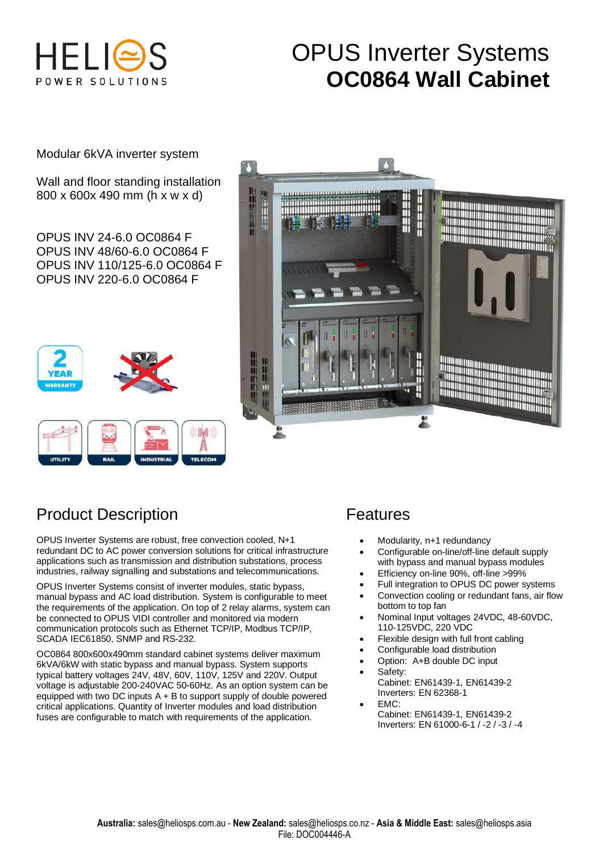

# OPUS Inverter Systems **OC0864 Wall Cabinet**

Modular 6kVA inverter system

Wall and floor standing installation 800 x 600x 490 mm (h x w x d)

OPUS INV 24-6.0 OC0864 F OPUS INV 48/60-6.0 OC0864 F OPUS INV 110/125-6.0 OC0864 F OPUS INV 220-6.0 OC0864 F

# 叫



# Product Description Features

OPUS Inverter Systems are robust, free convection cooled, N+1 redundant DC to AC power conversion solutions for critical infrastructure applications such as transmission and distribution substations, process industries, railway signalling and substations and telecommunications.

OPUS Inverter Systems consist of inverter modules, static bypass, manual bypass and AC load distribution. System is configurable to meet the requirements of the application. On top of 2 relay alarms, system can be connected to OPUS VIDI controller and monitored via modern communication protocols such as Ethernet TCP/IP, Modbus TCP/IP, SCADA IEC61850, SNMP and RS-232.

OC0864 800x600x490mm standard cabinet systems deliver maximum 6kVA/6kW with static bypass and manual bypass. System supports typical battery voltages 24V, 48V, 60V, 110V, 125V and 220V. Output voltage is adjustable 200-240VAC 50-60Hz. As an option system can be equipped with two DC inputs A + B to support supply of double powered critical applications. Quantity of Inverter modules and load distribution fuses are configurable to match with requirements of the application.

- Modularity, n+1 redundancy
- Configurable on-line/off-line default supply with bypass and manual bypass modules
- Efficiency on-line 90%, off-line >99%
- Full integration to OPUS DC power systems
- Convection cooling or redundant fans, air flow bottom to top fan
- Nominal Input voltages 24VDC, 48-60VDC, 110-125VDC, 220 VDC
- Flexible design with full front cabling
- Configurable load distribution
- Option: A+B double DC input
- Safety: Cabinet: EN61439-1, EN61439-2 Inverters: EN 62368-1
- EMC: Cabinet: EN61439-1, EN61439-2 Inverters: EN 61000-6-1 / -2 / -3 / -4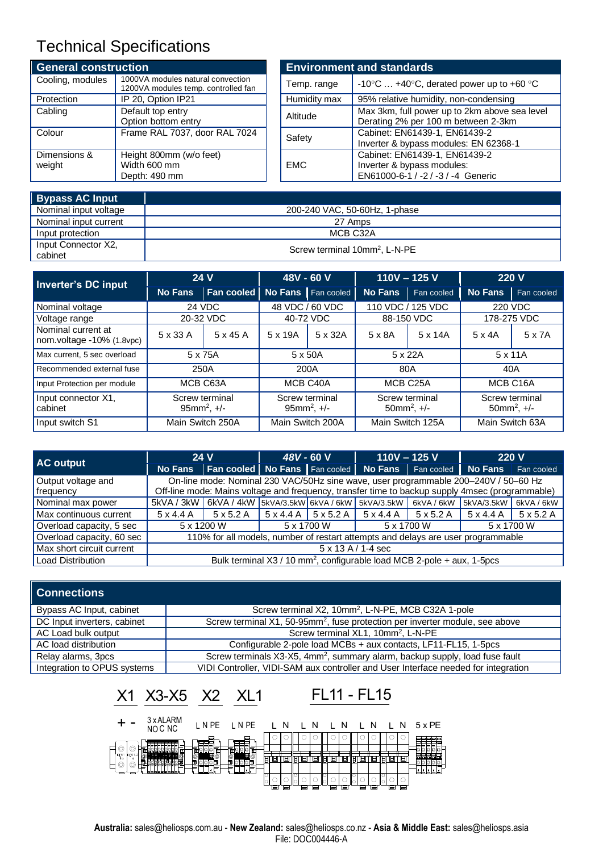## Technical Specifications

| <b>General construction</b> |                                                                          | <b>Environment and standards</b> |                                                                                                   |  |  |
|-----------------------------|--------------------------------------------------------------------------|----------------------------------|---------------------------------------------------------------------------------------------------|--|--|
| Cooling, modules            | 1000VA modules natural convection<br>1200VA modules temp. controlled fan | Temp. range                      | -10 $\degree$ C  +40 $\degree$ C, derated power up to +60 $\degree$ C                             |  |  |
| Protection                  | IP 20, Option IP21                                                       | Humidity max                     | 95% relative humidity, non-condensing                                                             |  |  |
| Cabling                     | Default top entry<br>Option bottom entry                                 | Altitude                         | Max 3km, full power up to 2km above sea level<br>Derating 2% per 100 m between 2-3km              |  |  |
| Colour                      | Frame RAL 7037, door RAL 7024                                            | Safety                           | Cabinet: EN61439-1, EN61439-2<br>Inverter & bypass modules: EN 62368-1                            |  |  |
| Dimensions &<br>weight      | Height 800mm (w/o feet)<br>Width 600 mm<br>Depth: 490 mm                 | <b>EMC</b>                       | Cabinet: EN61439-1, EN61439-2<br>Inverter & bypass modules:<br>EN61000-6-1 / -2 / -3 / -4 Generic |  |  |

| <b>Bypass AC Input</b>         |                                           |
|--------------------------------|-------------------------------------------|
| Nominal input voltage          | 200-240 VAC, 50-60Hz, 1-phase             |
| Nominal input current          | 27 Amps                                   |
| Input protection               | MCB C32A                                  |
| Input Connector X2,<br>cabinet | Screw terminal 10mm <sup>2</sup> , L-N-PE |

| Inverter's DC input                             | <b>24 V</b>                       |                 | 48V - 60 V                        |                      |                                    | $110V - 125V$    | 220 V                                          |            |
|-------------------------------------------------|-----------------------------------|-----------------|-----------------------------------|----------------------|------------------------------------|------------------|------------------------------------------------|------------|
|                                                 | <b>No Fans</b>                    | Fan cooled      |                                   | No Fans   Fan cooled | <b>No Fans</b>                     | Fan cooled       | <b>No Fans</b>                                 | Fan cooled |
| Nominal voltage                                 | 24 VDC                            |                 | 48 VDC / 60 VDC                   |                      | 110 VDC / 125 VDC                  |                  | 220 VDC                                        |            |
| Voltage range                                   | 20-32 VDC                         |                 | 40-72 VDC                         |                      | 88-150 VDC                         |                  | 178-275 VDC                                    |            |
| Nominal current at<br>nom.voltage -10% (1.8vpc) | 5 x 33 A                          | $5 \times 45$ A | 5 x 19A                           | 5 x 32A              | 5 x 8A                             | 5 x 14A          | $5 \times 4A$                                  | 5 x 7A     |
| Max current, 5 sec overload                     | 5 x 75A                           |                 | 5 x 50A                           |                      | 5 x 22A                            |                  | 5 x 11A                                        |            |
| Recommended external fuse                       | 250A                              |                 | 200A                              |                      | 80A                                |                  | 40A                                            |            |
| Input Protection per module                     | MCB C63A                          |                 | MCB C40A                          |                      | MCB C <sub>25</sub> A              |                  | MCB C16A                                       |            |
| Input connector X1,<br>cabinet                  | Screw terminal<br>95 $mm^2$ , +/- |                 | Screw terminal<br>95 $mm^2$ , +/- |                      | Screw terminal<br>$50mm^2$ , $+/-$ |                  | Screw terminal<br>$50$ mm <sup>2</sup> , $+/-$ |            |
| Input switch S1                                 | Main Switch 250A                  |                 | Main Switch 200A                  |                      |                                    | Main Switch 125A | Main Switch 63A                                |            |

| AC output                 | 24 V                                                                                            |                                                                                             | 48V - 60 V                                                                          |  | $110V - 125V$                                                         |  | <b>220 V</b> |  |  |
|---------------------------|-------------------------------------------------------------------------------------------------|---------------------------------------------------------------------------------------------|-------------------------------------------------------------------------------------|--|-----------------------------------------------------------------------|--|--------------|--|--|
|                           |                                                                                                 | No Fans   Fan cooled No Fans   Fan cooled   No Fans   Fan cooled   No Fans   Fan cooled     |                                                                                     |  |                                                                       |  |              |  |  |
| Output voltage and        |                                                                                                 |                                                                                             | On-line mode: Nominal 230 VAC/50Hz sine wave, user programmable 200-240V / 50-60 Hz |  |                                                                       |  |              |  |  |
| frequency                 | Off-line mode: Mains voltage and frequency, transfer time to backup supply 4msec (programmable) |                                                                                             |                                                                                     |  |                                                                       |  |              |  |  |
| Nominal max power         |                                                                                                 | 5kVA/3kW   6kVA/4kW   5kVA/3.5kW   6kVA/6kW   5kVA/3.5kW   6kVA/6kW   5kVA/3.5kW   6kVA/6kW |                                                                                     |  |                                                                       |  |              |  |  |
| Max continuous current    |                                                                                                 | $5 \times 4.4$ A $\phantom{0}$ 5 $\times$ 5.2 A                                             |                                                                                     |  | 5 x 4.4 A   5 x 5.2 A   5 x 4.4 A   5 x 5.2 A   5 x 4.4 A   5 x 5.2 A |  |              |  |  |
| Overload capacity, 5 sec  |                                                                                                 | 5 x 1200 W                                                                                  | 5 x 1700 W                                                                          |  | 5 x 1700 W                                                            |  | 5 x 1700 W   |  |  |
| Overload capacity, 60 sec | 110% for all models, number of restart attempts and delays are user programmable                |                                                                                             |                                                                                     |  |                                                                       |  |              |  |  |
| Max short circuit current | $5 \times 13$ A $/$ 1-4 sec                                                                     |                                                                                             |                                                                                     |  |                                                                       |  |              |  |  |
| Load Distribution         |                                                                                                 |                                                                                             | Bulk terminal X3 / 10 mm <sup>2</sup> , configurable load MCB 2-pole + aux, 1-5pcs  |  |                                                                       |  |              |  |  |

#### **Connections**

| Bypass AC Input, cabinet    | Screw terminal X2, 10mm <sup>2</sup> , L-N-PE, MCB C32A 1-pole                           |  |  |  |  |  |
|-----------------------------|------------------------------------------------------------------------------------------|--|--|--|--|--|
| DC Input inverters, cabinet | Screw terminal X1, 50-95mm <sup>2</sup> , fuse protection per inverter module, see above |  |  |  |  |  |
| AC Load bulk output         | Screw terminal XL1, 10mm <sup>2</sup> , L-N-PE                                           |  |  |  |  |  |
| AC load distribution        | Configurable 2-pole load MCBs + aux contacts, LF11-FL15, 1-5pcs                          |  |  |  |  |  |
| Relay alarms, 3pcs          | Screw terminals X3-X5, 4mm <sup>2</sup> , summary alarm, backup supply, load fuse fault  |  |  |  |  |  |
| Integration to OPUS systems | VIDI Controller, VIDI-SAM aux controller and User Interface needed for integration       |  |  |  |  |  |